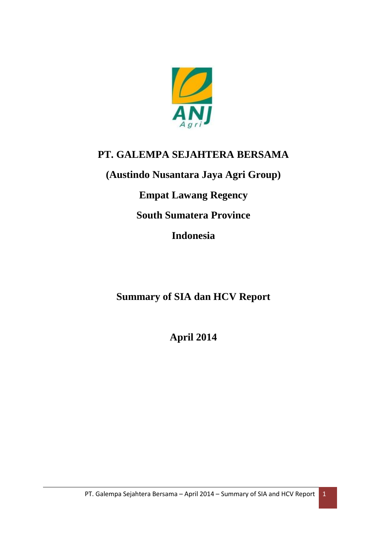

# **PT. GALEMPA SEJAHTERA BERSAMA**

**(Austindo Nusantara Jaya Agri Group)**

**Empat Lawang Regency**

**South Sumatera Province**

**Indonesia**

**Summary of SIA dan HCV Report**

**April 2014**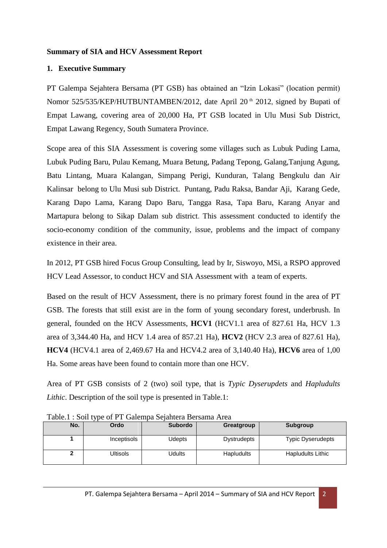# **Summary of SIA and HCV Assessment Report**

# **1. Executive Summary**

PT Galempa Sejahtera Bersama (PT GSB) has obtained an "Izin Lokasi" (location permit) Nomor 525/535/KEP/HUTBUNTAMBEN/2012, date April 20<sup>th</sup> 2012, signed by Bupati of Empat Lawang, covering area of 20,000 Ha, PT GSB located in Ulu Musi Sub District, Empat Lawang Regency, South Sumatera Province.

Scope area of this SIA Assessment is covering some villages such as Lubuk Puding Lama, Lubuk Puding Baru, Pulau Kemang, Muara Betung, Padang Tepong, Galang,Tanjung Agung, Batu Lintang, Muara Kalangan, Simpang Perigi, Kunduran, Talang Bengkulu dan Air Kalinsar belong to Ulu Musi sub District. Puntang, Padu Raksa, Bandar Aji, Karang Gede, Karang Dapo Lama, Karang Dapo Baru, Tangga Rasa, Tapa Baru, Karang Anyar and Martapura belong to Sikap Dalam sub district. This assessment conducted to identify the socio-economy condition of the community, issue, problems and the impact of company existence in their area.

In 2012, PT GSB hired Focus Group Consulting, lead by Ir, Siswoyo, MSi, a RSPO approved HCV Lead Assessor, to conduct HCV and SIA Assessment with a team of experts.

Based on the result of HCV Assessment, there is no primary forest found in the area of PT GSB. The forests that still exist are in the form of young secondary forest, underbrush. In general, founded on the HCV Assessments, **HCV1** (HCV1.1 area of 827.61 Ha, HCV 1.3 area of 3,344.40 Ha, and HCV 1.4 area of 857.21 Ha), **HCV2** (HCV 2.3 area of 827.61 Ha), **HCV4** (HCV4.1 area of 2,469.67 Ha and HCV4.2 area of 3,140.40 Ha), **HCV6** area of 1,00 Ha. Some areas have been found to contain more than one HCV.

Area of PT GSB consists of 2 (two) soil type, that is *Typic Dyserupdets* and *Hapludults Lithic*. Description of the soil type is presented in Table.1:

| No. | Ordo        | <b>Subordo</b> | Greatgroup         | Subgroup                 |
|-----|-------------|----------------|--------------------|--------------------------|
|     | Inceptisols | <b>Udepts</b>  | <b>Dystrudepts</b> | <b>Typic Dyserudepts</b> |
|     | Ultisols    | Udults         | <b>Hapludults</b>  | <b>Hapludults Lithic</b> |

Table.1 : Soil type of PT Galempa Sejahtera Bersama Area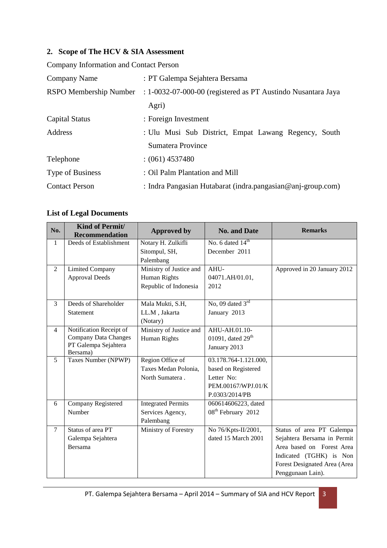# **2. Scope of The HCV & SIA Assessment**

Company Information and Contact Person

| Company Name            | : PT Galempa Sejahtera Bersama                                         |  |  |  |  |  |
|-------------------------|------------------------------------------------------------------------|--|--|--|--|--|
| RSPO Membership Number  | $: 1 - 0032 - 07 - 000 - 00$ (registered as PT Austindo Nusantara Jaya |  |  |  |  |  |
|                         | Agri)                                                                  |  |  |  |  |  |
| Capital Status          | : Foreign Investment                                                   |  |  |  |  |  |
| Address                 | : Ulu Musi Sub District, Empat Lawang Regency, South                   |  |  |  |  |  |
|                         | Sumatera Province                                                      |  |  |  |  |  |
| Telephone               | $(061)$ 4537480                                                        |  |  |  |  |  |
| <b>Type of Business</b> | : Oil Palm Plantation and Mill                                         |  |  |  |  |  |
| <b>Contact Person</b>   | : Indra Pangasian Hutabarat (indra.pangasian@anj-group.com)            |  |  |  |  |  |

# **List of Legal Documents**

| No.            | Kind of Permit/<br><b>Recommendation</b> | <b>Approved by</b>        | <b>No. and Date</b>            | <b>Remarks</b>               |
|----------------|------------------------------------------|---------------------------|--------------------------------|------------------------------|
| $\mathbf{1}$   | Deeds of Establishment                   | Notary H. Zulkifli        | No. 6 dated $14th$             |                              |
|                |                                          | Sitompul, SH,             | December 2011                  |                              |
|                |                                          | Palembang                 |                                |                              |
| $\overline{2}$ | <b>Limited Company</b>                   | Ministry of Justice and   | AHU-                           | Approved in 20 January 2012  |
|                | <b>Approval Deeds</b>                    | <b>Human Rights</b>       | 04071.AH/01.01,                |                              |
|                |                                          | Republic of Indonesia     | 2012                           |                              |
| $\overline{3}$ | Deeds of Shareholder                     | Mala Mukti, S.H,          | No, 09 dated $3rd$             |                              |
|                | Statement                                | LL.M, Jakarta             | January 2013                   |                              |
|                |                                          | (Notary)                  |                                |                              |
| $\overline{4}$ | Notification Receipt of                  | Ministry of Justice and   | AHU-AH.01.10-                  |                              |
|                | <b>Company Data Changes</b>              | <b>Human Rights</b>       | 01091, dated $29th$            |                              |
|                | PT Galempa Sejahtera<br>Bersama)         |                           | January 2013                   |                              |
| 5              | Taxes Number (NPWP)                      | Region Office of          | 03.178.764-1.121.000,          |                              |
|                |                                          | Taxes Medan Polonia,      | based on Registered            |                              |
|                |                                          | North Sumatera.           | Letter No:                     |                              |
|                |                                          |                           | PEM.00167/WPJ.01/K             |                              |
|                |                                          |                           | P.0303/2014/PB                 |                              |
| 6              | Company Registered                       | <b>Integrated Permits</b> | 060614606223, dated            |                              |
|                | Number                                   | Services Agency,          | 08 <sup>th</sup> February 2012 |                              |
|                |                                          | Palembang                 |                                |                              |
| $\tau$         | Status of area PT                        | Ministry of Forestry      | No 76/Kpts-II/2001,            | Status of area PT Galempa    |
|                | Galempa Sejahtera                        |                           | dated 15 March 2001            | Sejahtera Bersama in Permit  |
|                | Bersama                                  |                           |                                | Area based on Forest Area    |
|                |                                          |                           |                                | Indicated (TGHK) is Non      |
|                |                                          |                           |                                | Forest Designated Area (Area |
|                |                                          |                           |                                | Penggunaan Lain).            |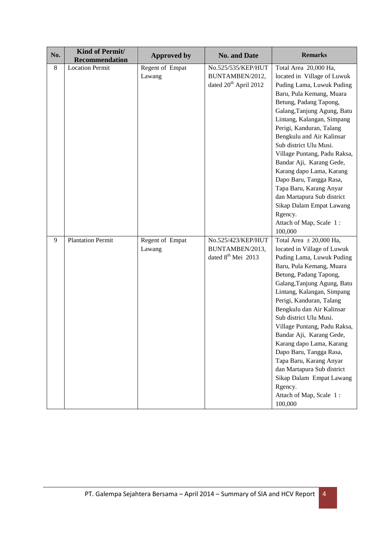| No.     | Kind of Permit/<br><b>Recommendation</b> | <b>Approved by</b> | <b>Remarks</b><br><b>No. and Date</b>             |                                                          |  |
|---------|------------------------------------------|--------------------|---------------------------------------------------|----------------------------------------------------------|--|
| $\,8\,$ | <b>Location Permit</b>                   | Regent of Empat    | No.525/535/KEP/HUT                                | Total Area 20,000 Ha,                                    |  |
|         |                                          | Lawang             | BUNTAMBEN/2012,                                   | located in Village of Luwuk                              |  |
|         |                                          |                    | dated 20 <sup>th</sup> April 2012                 | Puding Lama, Luwuk Puding                                |  |
|         |                                          |                    |                                                   | Baru, Pula Kemang, Muara                                 |  |
|         |                                          |                    |                                                   | Betung, Padang Tapong,                                   |  |
|         |                                          |                    |                                                   | Galang, Tanjung Agung, Batu                              |  |
|         |                                          |                    |                                                   | Lintang, Kalangan, Simpang                               |  |
|         |                                          |                    |                                                   | Perigi, Kanduran, Talang                                 |  |
|         |                                          |                    |                                                   | Bengkulu and Air Kalinsar                                |  |
|         |                                          |                    |                                                   | Sub district Ulu Musi.                                   |  |
|         |                                          |                    |                                                   | Village Puntang, Padu Raksa,                             |  |
|         |                                          |                    |                                                   | Bandar Aji, Karang Gede,                                 |  |
|         |                                          |                    |                                                   | Karang dapo Lama, Karang                                 |  |
|         |                                          |                    |                                                   | Dapo Baru, Tangga Rasa,                                  |  |
|         |                                          |                    |                                                   | Tapa Baru, Karang Anyar                                  |  |
|         |                                          |                    |                                                   | dan Martapura Sub district                               |  |
|         |                                          |                    |                                                   | Sikap Dalam Empat Lawang                                 |  |
|         |                                          |                    |                                                   | Rgency.                                                  |  |
|         |                                          |                    |                                                   | Attach of Map, Scale 1:                                  |  |
|         |                                          |                    |                                                   | 100,000                                                  |  |
| 9       | <b>Plantation Permit</b>                 | Regent of Empat    | No.525/423/KEP/HUT                                | Total Area $\pm 20,000$ Ha,                              |  |
|         |                                          | Lawang             | BUNTAMBEN/2013,<br>dated 8 <sup>th</sup> Mei 2013 | located in Village of Luwuk<br>Puding Lama, Luwuk Puding |  |
|         |                                          |                    |                                                   | Baru, Pula Kemang, Muara                                 |  |
|         |                                          |                    |                                                   | Betung, Padang Tapong,                                   |  |
|         |                                          |                    |                                                   | Galang, Tanjung Agung, Batu                              |  |
|         |                                          |                    |                                                   | Lintang, Kalangan, Simpang                               |  |
|         |                                          |                    |                                                   | Perigi, Kanduran, Talang                                 |  |
|         |                                          |                    |                                                   | Bengkulu dan Air Kalinsar                                |  |
|         |                                          |                    |                                                   | Sub district Ulu Musi.                                   |  |
|         |                                          |                    |                                                   | Village Puntang, Padu Raksa,                             |  |
|         |                                          |                    |                                                   | Bandar Aji, Karang Gede,                                 |  |
|         |                                          |                    |                                                   | Karang dapo Lama, Karang                                 |  |
|         |                                          |                    |                                                   | Dapo Baru, Tangga Rasa,                                  |  |
|         |                                          |                    |                                                   | Tapa Baru, Karang Anyar                                  |  |
|         |                                          |                    |                                                   | dan Martapura Sub district                               |  |
|         |                                          |                    |                                                   | Sikap Dalam Empat Lawang                                 |  |
|         |                                          |                    |                                                   | Rgency.                                                  |  |
|         |                                          |                    |                                                   | Attach of Map, Scale 1:                                  |  |
|         |                                          |                    |                                                   | 100,000                                                  |  |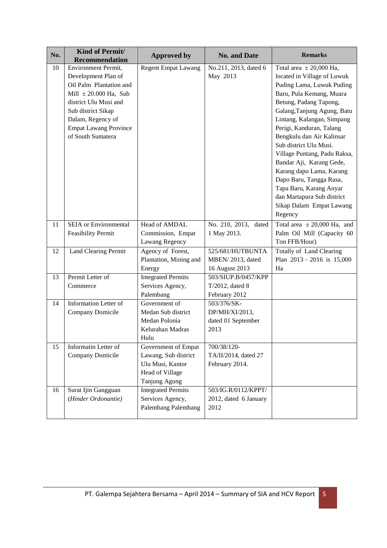| No. | Kind of Permit/                                    | <b>Approved by</b>                            | <b>No. and Date</b>           | <b>Remarks</b>                                        |
|-----|----------------------------------------------------|-----------------------------------------------|-------------------------------|-------------------------------------------------------|
|     | <b>Recommendation</b>                              |                                               |                               |                                                       |
| 10  | <b>Environment Permit,</b>                         | <b>Regent Empat Lawang</b>                    | No.211, 2013, dated 6         | Total area $\pm 20,000$ Ha,                           |
|     | Development Plan of<br>Oil Palm Plantation and     |                                               | May 2013                      | located in Village of Luwuk                           |
|     |                                                    |                                               |                               | Puding Lama, Luwuk Puding                             |
|     | Mill $\pm 20.000$ Ha, Sub<br>district Ulu Musi and |                                               |                               | Baru, Pula Kemang, Muara                              |
|     |                                                    |                                               |                               | Betung, Padang Tapong,<br>Galang, Tanjung Agung, Batu |
|     | Sub district Sikap<br>Dalam, Regency of            |                                               |                               | Lintang, Kalangan, Simpang                            |
|     | <b>Empat Lawang Province</b>                       |                                               |                               | Perigi, Kanduran, Talang                              |
|     | of South Sumatera                                  |                                               |                               | Bengkulu dan Air Kalinsar                             |
|     |                                                    |                                               |                               | Sub district Ulu Musi.                                |
|     |                                                    |                                               |                               | Village Puntang, Padu Raksa,                          |
|     |                                                    |                                               |                               | Bandar Aji, Karang Gede,                              |
|     |                                                    |                                               |                               | Karang dapo Lama, Karang                              |
|     |                                                    |                                               |                               | Dapo Baru, Tangga Rasa,                               |
|     |                                                    |                                               |                               | Tapa Baru, Karang Anyar                               |
|     |                                                    |                                               |                               | dan Martapura Sub district                            |
|     |                                                    |                                               |                               | Sikap Dalam Empat Lawang                              |
|     |                                                    |                                               |                               | Regency                                               |
| 11  | <b>SEIA</b> or Environmental                       | Head of AMDAL                                 | No. 210, 2013, dated          | Total area $\pm 20,000$ Ha, and                       |
|     | <b>Feasibility Permit</b>                          | Commission, Empat                             | 1 May 2013.                   | Palm Oil Mill (Capacity 60                            |
|     |                                                    | Lawang Regency                                |                               | Ton FFB/Hour)                                         |
| 12  | <b>Land Clearing Permit</b>                        | Agency of Forest,                             | 525/681/HUTBUNTA              | Totally of Land Clearing                              |
|     |                                                    | Plantation, Mining and                        | MBEN/2013, dated              | Plan $2013 - 2016$ is 15,000                          |
|     |                                                    | Energy                                        | 16 August 2013                | Ha                                                    |
| 13  | Permit Letter of                                   | <b>Integrated Permits</b>                     | 503/SIUP.B/0457/KPP           |                                                       |
|     | Commerce                                           | Services Agency,                              | T/2012, dated 8               |                                                       |
|     |                                                    | Palembang                                     | February 2012                 |                                                       |
| 14  | <b>Information Letter of</b>                       | Government of                                 | 503/376/SK-                   |                                                       |
|     | Company Domicile                                   | Medan Sub district                            | DP/MH/XI/2013,                |                                                       |
|     |                                                    | Medan Polonia                                 | dated 01 September            |                                                       |
|     |                                                    | Kelurahan Madras                              | 2013                          |                                                       |
|     |                                                    | Hulu                                          |                               |                                                       |
| 15  | Informatin Letter of                               | Government of Empat                           | 700/38/120-                   |                                                       |
|     | Company Domicile                                   | Lawang, Sub district                          | TA/II/2014, dated 27          |                                                       |
|     |                                                    | Ulu Musi, Kantor                              | February 2014.                |                                                       |
|     |                                                    | Head of Village                               |                               |                                                       |
|     |                                                    | Tanjung Agung                                 |                               |                                                       |
| 16  | Surat Ijin Gangguan                                | <b>Integrated Permits</b><br>Services Agency, | 503/IG.R/0112/KPPT/           |                                                       |
|     | (Hinder Ordonantie)                                | Palembang Palembang                           | 2012, dated 6 January<br>2012 |                                                       |
|     |                                                    |                                               |                               |                                                       |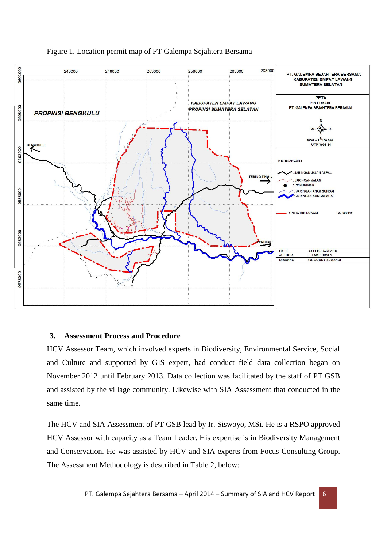

# Figure 1. Location permit map of PT Galempa Sejahtera Bersama

#### **3. Assessment Process and Procedure**

HCV Assessor Team, which involved experts in Biodiversity, Environmental Service, Social and Culture and supported by GIS expert, had conduct field data collection began on November 2012 until February 2013. Data collection was facilitated by the staff of PT GSB and assisted by the village community. Likewise with SIA Assessment that conducted in the same time.

The HCV and SIA Assessment of PT GSB lead by Ir. Siswoyo, MSi. He is a RSPO approved HCV Assessor with capacity as a Team Leader. His expertise is in Biodiversity Management and Conservation. He was assisted by HCV and SIA experts from Focus Consulting Group. The Assessment Methodology is described in Table 2, below: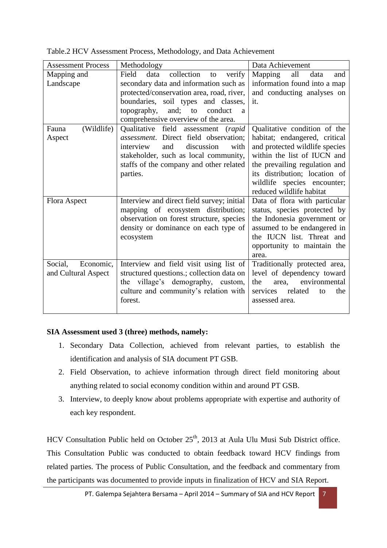| <b>Assessment Process</b> | Methodology                                 | Data Achievement                 |
|---------------------------|---------------------------------------------|----------------------------------|
| Mapping and               | collection<br>Field<br>data<br>verify<br>to | Mapping<br>all<br>data<br>and    |
| Landscape                 | secondary data and information such as      | information found into a map     |
|                           | protected/conservation area, road, river,   | and conducting analyses on       |
|                           | boundaries, soil types and classes,         | it.                              |
|                           | and; to<br>conduct<br>topography,<br>a      |                                  |
|                           | comprehensive overview of the area.         |                                  |
| (Wildlife)<br>Fauna       | Qualitative field assessment (rapid         | Qualitative condition of the     |
| Aspect                    | assessment. Direct field observation;       | habitat; endangered, critical    |
|                           | interview<br>and<br>discussion<br>with      | and protected wildlife species   |
|                           | stakeholder, such as local community,       | within the list of IUCN and      |
|                           | staffs of the company and other related     | the prevailing regulation and    |
|                           | parties.                                    | its distribution; location of    |
|                           |                                             | wildlife species encounter;      |
|                           |                                             | reduced wildlife habitat         |
| Flora Aspect              | Interview and direct field survey; initial  | Data of flora with particular    |
|                           | mapping of ecosystem distribution;          | status, species protected by     |
|                           | observation on forest structure, species    | the Indonesia government or      |
|                           | density or dominance on each type of        | assumed to be endangered in      |
|                           | ecosystem                                   | the IUCN list. Threat and        |
|                           |                                             | opportunity to maintain the      |
|                           |                                             | area.                            |
| Social,<br>Economic,      | Interview and field visit using list of     | Traditionally protected area,    |
| and Cultural Aspect       | structured questions.; collection data on   | level of dependency toward       |
|                           | the village's demography, custom,           | environmental<br>the<br>area,    |
|                           | culture and community's relation with       | related<br>services<br>the<br>to |
|                           | forest.                                     | assessed area.                   |
|                           |                                             |                                  |

Table.2 HCV Assessment Process, Methodology, and Data Achievement

# **SIA Assessment used 3 (three) methods, namely:**

- 1. Secondary Data Collection, achieved from relevant parties, to establish the identification and analysis of SIA document PT GSB.
- 2. Field Observation, to achieve information through direct field monitoring about anything related to social economy condition within and around PT GSB.
- 3. Interview, to deeply know about problems appropriate with expertise and authority of each key respondent.

HCV Consultation Public held on October 25<sup>th</sup>, 2013 at Aula Ulu Musi Sub District office. This Consultation Public was conducted to obtain feedback toward HCV findings from related parties. The process of Public Consultation, and the feedback and commentary from the participants was documented to provide inputs in finalization of HCV and SIA Report.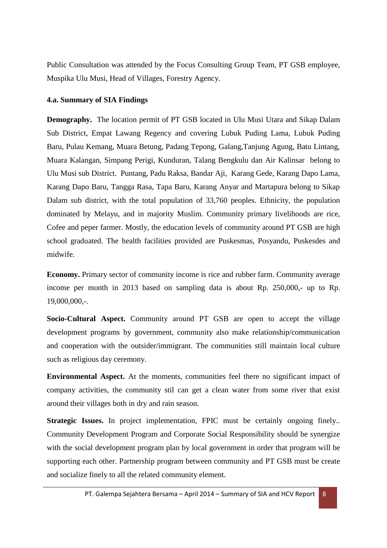Public Consultation was attended by the Focus Consulting Group Team, PT GSB employee, Muspika Ulu Musi, Head of Villages, Forestry Agency.

#### **4.a. Summary of SIA Findings**

**Demography.** The location permit of PT GSB located in Ulu Musi Utara and Sikap Dalam Sub District, Empat Lawang Regency and covering Lubuk Puding Lama, Lubuk Puding Baru, Pulau Kemang, Muara Betung, Padang Tepong, Galang,Tanjung Agung, Batu Lintang, Muara Kalangan, Simpang Perigi, Kunduran, Talang Bengkulu dan Air Kalinsar belong to Ulu Musi sub District. Puntang, Padu Raksa, Bandar Aji, Karang Gede, Karang Dapo Lama, Karang Dapo Baru, Tangga Rasa, Tapa Baru, Karang Anyar and Martapura belong to Sikap Dalam sub district, with the total population of 33,760 peoples. Ethnicity, the population dominated by Melayu, and in majority Muslim. Community primary livelihoods are rice, Cofee and peper farmer. Mostly, the education levels of community around PT GSB are high school graduated. The health facilities provided are Puskesmas, Posyandu, Puskesdes and midwife.

**Economy.** Primary sector of community income is rice and rubber farm. Community average income per month in 2013 based on sampling data is about Rp. 250,000,- up to Rp. 19,000,000,-.

**Socio-Cultural Aspect.** Community around PT GSB are open to accept the village development programs by government, community also make relationship/communication and cooperation with the outsider/immigrant. The communities still maintain local culture such as religious day ceremony.

**Environmental Aspect.** At the moments, communities feel there no significant impact of company activities, the community stil can get a clean water from some river that exist around their villages both in dry and rain season.

**Strategic Issues.** In project implementation, FPIC must be certainly ongoing finely.. Community Development Program and Corporate Social Responsibility should be synergize with the social development program plan by local government in order that program will be supporting each other. Partnership program between community and PT GSB must be create and socialize finely to all the related community element.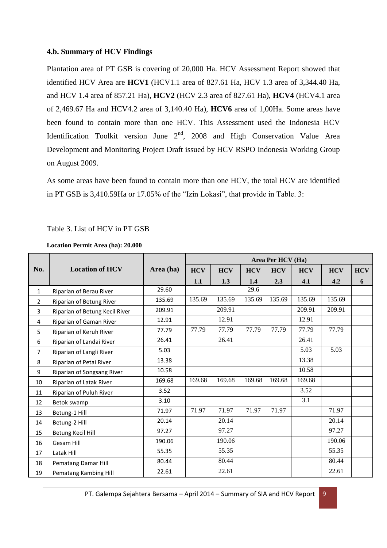# **4.b. Summary of HCV Findings**

Plantation area of PT GSB is covering of 20,000 Ha. HCV Assessment Report showed that identified HCV Area are **HCV1** (HCV1.1 area of 827.61 Ha, HCV 1.3 area of 3,344.40 Ha, and HCV 1.4 area of 857.21 Ha), **HCV2** (HCV 2.3 area of 827.61 Ha), **HCV4** (HCV4.1 area of 2,469.67 Ha and HCV4.2 area of 3,140.40 Ha), **HCV6** area of 1,00Ha. Some areas have been found to contain more than one HCV. This Assessment used the Indonesia HCV Identification Toolkit version June  $2<sup>nd</sup>$ , 2008 and High Conservation Value Area Development and Monitoring Project Draft issued by HCV RSPO Indonesia Working Group on August 2009.

As some areas have been found to contain more than one HCV, the total HCV are identified in PT GSB is 3,410.59Ha or 17.05% of the "Izin Lokasi", that provide in Table. 3:

# Table 3. List of HCV in PT GSB

#### **Location Permit Area (ha): 20.000**

|              |                                |           | Area Per HCV (Ha) |            |            |            |            |            |            |
|--------------|--------------------------------|-----------|-------------------|------------|------------|------------|------------|------------|------------|
| No.          | <b>Location of HCV</b>         | Area (ha) | <b>HCV</b>        | <b>HCV</b> | <b>HCV</b> | <b>HCV</b> | <b>HCV</b> | <b>HCV</b> | <b>HCV</b> |
|              |                                |           | 1.1               | 1.3        | 1.4        | 2.3        | 4.1        | 4.2        | 6          |
| $\mathbf{1}$ | Riparian of Berau River        | 29.60     |                   |            | 29.6       |            |            |            |            |
| 2            | Riparian of Betung River       | 135.69    | 135.69            | 135.69     | 135.69     | 135.69     | 135.69     | 135.69     |            |
| 3            | Riparian of Betung Kecil River | 209.91    |                   | 209.91     |            |            | 209.91     | 209.91     |            |
| 4            | Riparian of Gaman River        | 12.91     |                   | 12.91      |            |            | 12.91      |            |            |
| 5            | Riparian of Keruh River        | 77.79     | 77.79             | 77.79      | 77.79      | 77.79      | 77.79      | 77.79      |            |
| 6            | Riparian of Landai River       | 26.41     |                   | 26.41      |            |            | 26.41      |            |            |
| 7            | Riparian of Langli River       | 5.03      |                   |            |            |            | 5.03       | 5.03       |            |
| 8            | Riparian of Petai River        | 13.38     |                   |            |            |            | 13.38      |            |            |
| 9            | Riparian of Songsang River     | 10.58     |                   |            |            |            | 10.58      |            |            |
| 10           | Riparian of Latak River        | 169.68    | 169.68            | 169.68     | 169.68     | 169.68     | 169.68     |            |            |
| 11           | Riparian of Puluh River        | 3.52      |                   |            |            |            | 3.52       |            |            |
| 12           | Betok swamp                    | 3.10      |                   |            |            |            | 3.1        |            |            |
| 13           | Betung-1 Hill                  | 71.97     | 71.97             | 71.97      | 71.97      | 71.97      |            | 71.97      |            |
| 14           | Betung-2 Hill                  | 20.14     |                   | 20.14      |            |            |            | 20.14      |            |
| 15           | <b>Betung Kecil Hill</b>       | 97.27     |                   | 97.27      |            |            |            | 97.27      |            |
| 16           | <b>Gesam Hill</b>              | 190.06    |                   | 190.06     |            |            |            | 190.06     |            |
| 17           | Latak Hill                     | 55.35     |                   | 55.35      |            |            |            | 55.35      |            |
| 18           | Pematang Damar Hill            | 80.44     |                   | 80.44      |            |            |            | 80.44      |            |
| 19           | Pematang Kambing Hill          | 22.61     |                   | 22.61      |            |            |            | 22.61      |            |

PT. Galempa Sejahtera Bersama – April 2014 – Summary of SIA and HCV Report  $\overline{9}$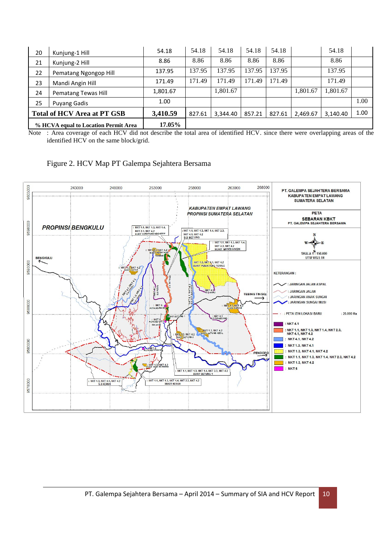| 20                                 | Kunjung-1 Hill                       | 54.18    | 54.18  | 54.18    | 54.18  | 54.18  |          | 54.18    |      |
|------------------------------------|--------------------------------------|----------|--------|----------|--------|--------|----------|----------|------|
| 21                                 | Kunjung-2 Hill                       | 8.86     | 8.86   | 8.86     | 8.86   | 8.86   |          | 8.86     |      |
| 22                                 | Pematang Ngongop Hill                | 137.95   | 137.95 | 137.95   | 137.95 | 137.95 |          | 137.95   |      |
| 23                                 | Mandi Angin Hill                     | 171.49   | 171.49 | 171.49   | 171.49 | 171.49 |          | 171.49   |      |
| 24                                 | Pematang Tewas Hill                  | 1,801.67 |        | 1,801.67 |        |        | 1,801.67 | 1,801.67 |      |
| 25                                 | Puyang Gadis                         | 1.00     |        |          |        |        |          |          | 1.00 |
| <b>Total of HCV Area at PT GSB</b> |                                      | 3,410.59 | 827.61 | 3.344.40 | 857.21 | 827.61 | 2,469.67 | 3.140.40 | 1.00 |
|                                    | % HCVA equal to Location Permit Area | 17.05%   |        |          |        |        |          |          |      |

Note : Area coverage of each HCV did not describe the total area of identified HCV. since there were overlapping areas of the identified HCV on the same block/grid.



Figure 2. HCV Map PT Galempa Sejahtera Bersama